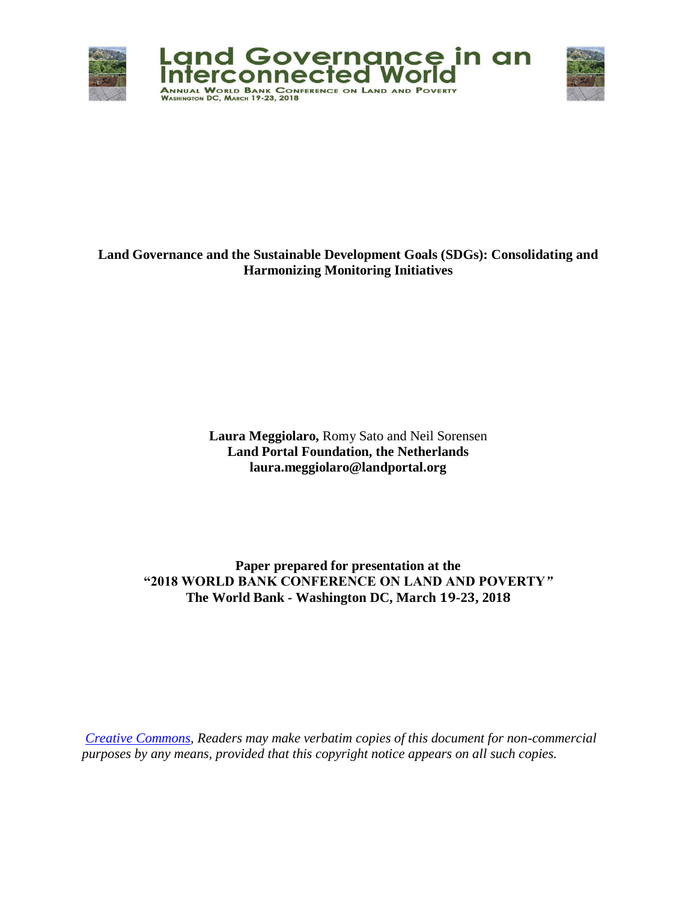

# **Land Governance and the Sustainable Development Goals (SDGs): Consolidating and Harmonizing Monitoring Initiatives**

**Laura Meggiolaro,** Romy Sato and Neil Sorensen **Land Portal Foundation, the Netherlands laura.meggiolaro@landportal.org**

**Paper prepared for presentation at the "2018 WORLD BANK CONFERENCE ON LAND AND POVERTY***"* **The World Bank - Washington DC, March 19-23, 2018**

*[Creative Commons,](https://creativecommons.org/licenses/by/4.0/) Readers may make verbatim copies of this document for non-commercial purposes by any means, provided that this copyright notice appears on all such copies.*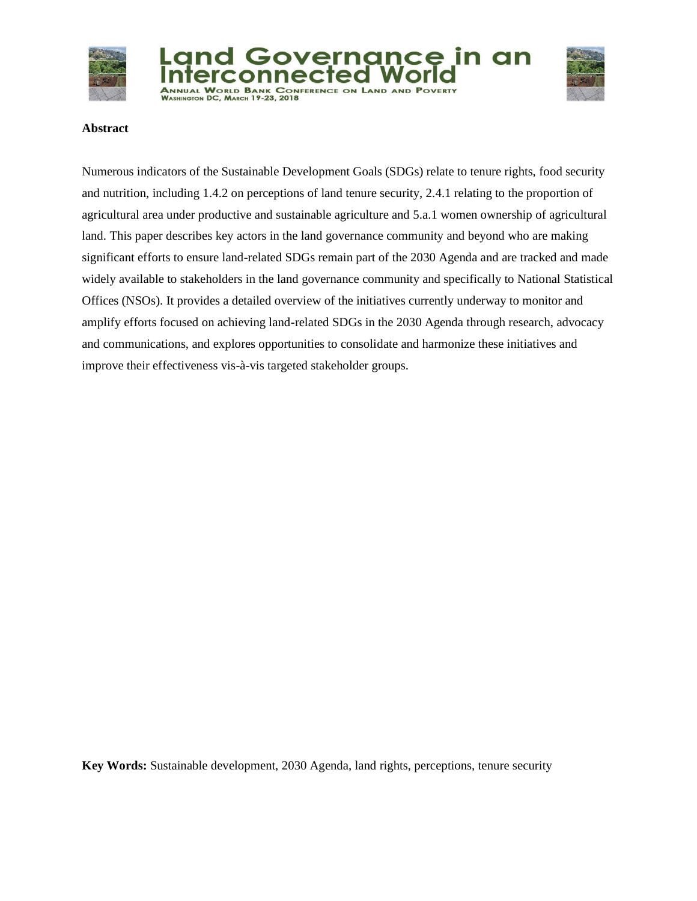





#### **Abstract**

Numerous indicators of the Sustainable Development Goals (SDGs) relate to tenure rights, food security and nutrition, including 1.4.2 on perceptions of land tenure security, 2.4.1 relating to the proportion of agricultural area under productive and sustainable agriculture and 5.a.1 women ownership of agricultural land. This paper describes key actors in the land governance community and beyond who are making significant efforts to ensure land-related SDGs remain part of the 2030 Agenda and are tracked and made widely available to stakeholders in the land governance community and specifically to National Statistical Offices (NSOs). It provides a detailed overview of the initiatives currently underway to monitor and amplify efforts focused on achieving land-related SDGs in the 2030 Agenda through research, advocacy and communications, and explores opportunities to consolidate and harmonize these initiatives and improve their effectiveness vis-à-vis targeted stakeholder groups.

**Key Words:** Sustainable development, 2030 Agenda, land rights, perceptions, tenure security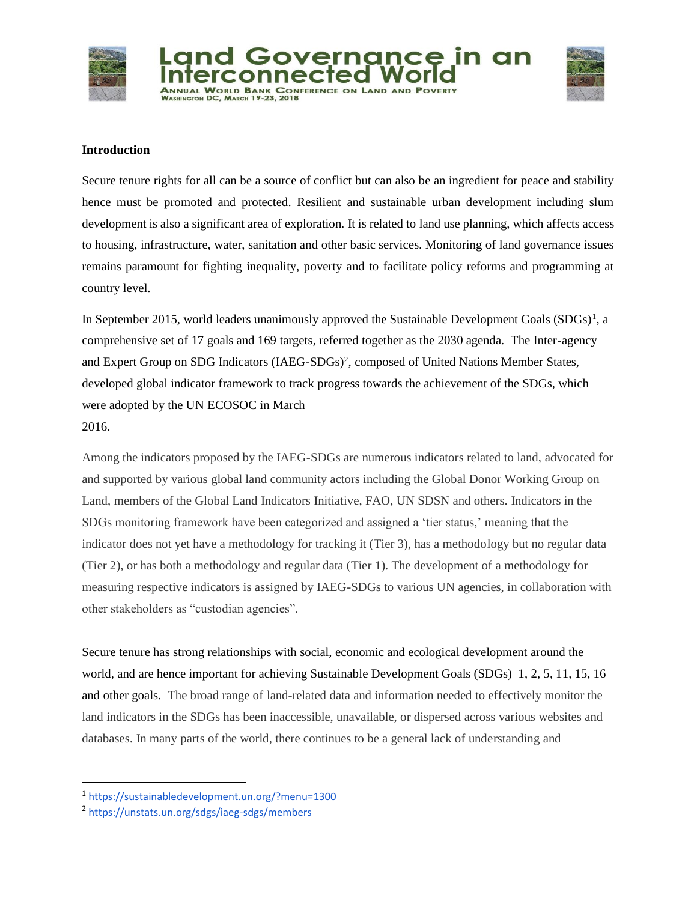



#### **Introduction**

Secure tenure rights for all can be a source of conflict but can also be an ingredient for peace and stability hence must be promoted and protected. Resilient and sustainable urban development including slum development is also a significant area of exploration. It is related to land use planning, which affects access to housing, infrastructure, water, sanitation and other basic services. Monitoring of land governance issues remains paramount for fighting inequality, poverty and to facilitate policy reforms and programming at country level.

In September 2015, world leaders unanimously approved the Sustainable Development Goals  $(SDGs)^1$ , a comprehensive set of 17 goals and 169 targets, referred together as the 2030 agenda. The Inter-agency and Expert Group on SDG Indicators (IAEG-SDGs)<sup>2</sup>, composed of United Nations Member States, developed global indicator framework to track progress towards the achievement of the SDGs, which were adopted by the UN ECOSOC in March 2016.

Among the indicators proposed by the IAEG-SDGs are numerous indicators related to land, advocated for and supported by various global land community actors including the Global Donor Working Group on Land, members of the Global Land Indicators Initiative, FAO, UN SDSN and others. Indicators in the SDGs monitoring framework have been categorized and assigned a 'tier status,' meaning that the indicator does not yet have a methodology for tracking it (Tier 3), has a methodology but no regular data (Tier 2), or has both a methodology and regular data (Tier 1). The development of a methodology for measuring respective indicators is assigned by IAEG-SDGs to various UN agencies, in collaboration with other stakeholders as "custodian agencies".

Secure tenure has strong relationships with social, economic and ecological development around the world, and are hence important for achieving Sustainable Development Goals (SDGs) 1, 2, 5, 11, 15, 16 and other goals. The broad range of land-related data and information needed to effectively monitor the land indicators in the SDGs has been inaccessible, unavailable, or dispersed across various websites and databases. In many parts of the world, there continues to be a general lack of understanding and

 $\overline{a}$ 

<sup>1</sup> <https://sustainabledevelopment.un.org/?menu=1300>

<sup>2</sup> <https://unstats.un.org/sdgs/iaeg-sdgs/members>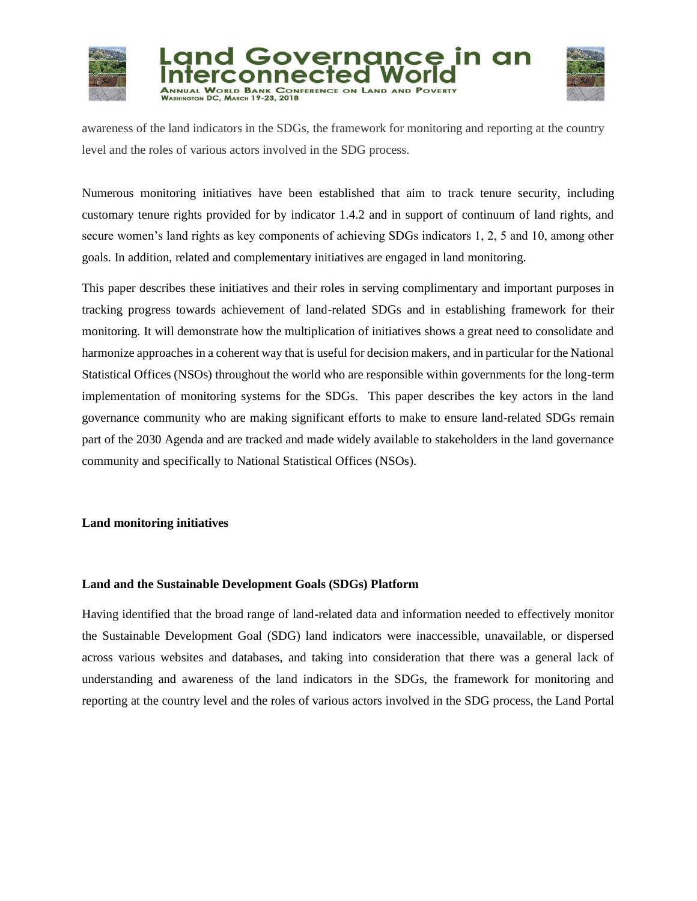





awareness of the land indicators in the SDGs, the framework for monitoring and reporting at the country level and the roles of various actors involved in the SDG process.

Numerous monitoring initiatives have been established that aim to track tenure security, including customary tenure rights provided for by indicator 1.4.2 and in support of continuum of land rights, and secure women's land rights as key components of achieving SDGs indicators 1, 2, 5 and 10, among other goals. In addition, related and complementary initiatives are engaged in land monitoring.

This paper describes these initiatives and their roles in serving complimentary and important purposes in tracking progress towards achievement of land-related SDGs and in establishing framework for their monitoring. It will demonstrate how the multiplication of initiatives shows a great need to consolidate and harmonize approaches in a coherent way that is useful for decision makers, and in particular for the National Statistical Offices (NSOs) throughout the world who are responsible within governments for the long-term implementation of monitoring systems for the SDGs. This paper describes the key actors in the land governance community who are making significant efforts to make to ensure land-related SDGs remain part of the 2030 Agenda and are tracked and made widely available to stakeholders in the land governance community and specifically to National Statistical Offices (NSOs).

# **Land monitoring initiatives**

# **Land and the Sustainable Development Goals (SDGs) Platform**

Having identified that the broad range of land-related data and information needed to effectively monitor the Sustainable Development Goal (SDG) land indicators were inaccessible, unavailable, or dispersed across various websites and databases, and taking into consideration that there was a general lack of understanding and awareness of the land indicators in the SDGs, the framework for monitoring and reporting at the country level and the roles of various actors involved in the SDG process, the Land Portal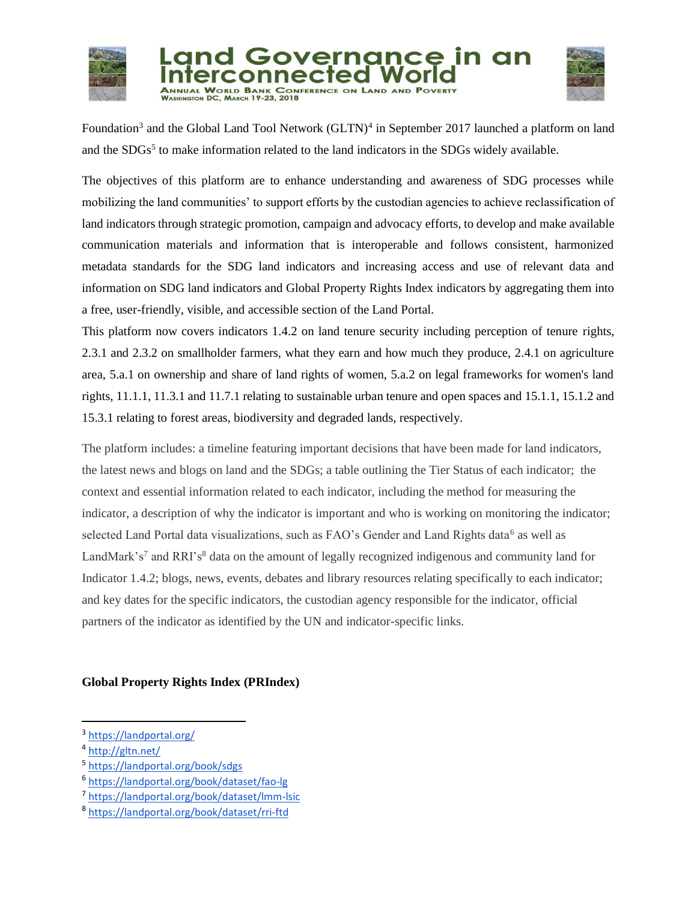



Foundation<sup>3</sup> and the Global Land Tool Network (GLTN)<sup>4</sup> in September 2017 launched a platform on land and the SDGs<sup>5</sup> to make information related to the land indicators in the SDGs widely available.

The objectives of this platform are to enhance understanding and awareness of SDG processes while mobilizing the land communities' to support efforts by the custodian agencies to achieve reclassification of land indicators through strategic promotion, campaign and advocacy efforts, to develop and make available communication materials and information that is interoperable and follows consistent, harmonized metadata standards for the SDG land indicators and increasing access and use of relevant data and information on SDG land indicators and Global Property Rights Index indicators by aggregating them into a free, user-friendly, visible, and accessible section of the Land Portal.

This platform now covers indicators 1.4.2 on land tenure security including perception of tenure rights, 2.3.1 and 2.3.2 on smallholder farmers, what they earn and how much they produce, 2.4.1 on agriculture area, 5.a.1 on ownership and share of land rights of women, 5.a.2 on legal frameworks for women's land rights, 11.1.1, 11.3.1 and 11.7.1 relating to sustainable urban tenure and open spaces and 15.1.1, 15.1.2 and 15.3.1 relating to forest areas, biodiversity and degraded lands, respectively.

The platform includes: a timeline featuring important decisions that have been made for land indicators, the latest news and blogs on land and the SDGs; a table outlining the Tier Status of each indicator; the context and essential information related to each indicator, including the method for measuring the indicator, a description of why the indicator is important and who is working on monitoring the indicator; selected Land Portal data visualizations, such as FAO's Gender and Land Rights data<sup>6</sup> as well as LandMark's<sup>7</sup> and RRI's<sup>8</sup> data on the amount of legally recognized indigenous and community land for Indicator 1.4.2; blogs, news, events, debates and library resources relating specifically to each indicator; and key dates for the specific indicators, the custodian agency responsible for the indicator, official partners of the indicator as identified by the UN and indicator-specific links.

# **Global Property Rights Index (PRIndex)**

 $\overline{a}$ 

5 <https://landportal.org/book/sdgs>

<sup>&</sup>lt;sup>3</sup> <https://landportal.org/>

<sup>&</sup>lt;sup>4</sup> <http://gltn.net/>

<sup>6</sup> <https://landportal.org/book/dataset/fao-lg>

<sup>7</sup> <https://landportal.org/book/dataset/lmm-lsic>

<sup>8</sup> <https://landportal.org/book/dataset/rri-ftd>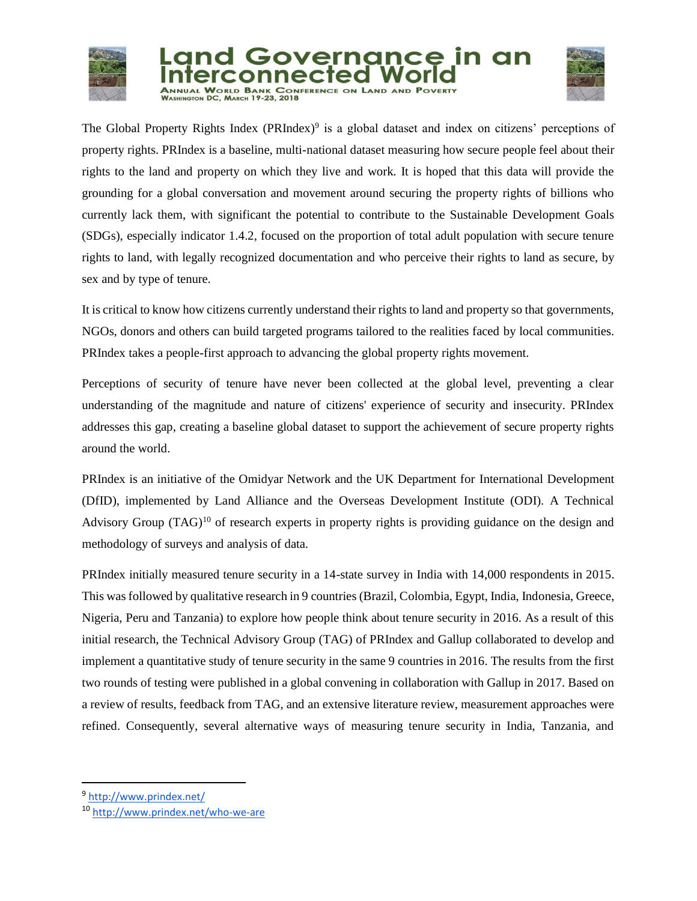





The Global Property Rights Index (PRIndex)<sup>9</sup> is a global dataset and index on citizens' perceptions of property rights. PRIndex is a baseline, multi-national dataset measuring how secure people feel about their rights to the land and property on which they live and work. It is hoped that this data will provide the grounding for a global conversation and movement around securing the property rights of billions who currently lack them, with significant the potential to contribute to the Sustainable Development Goals (SDGs), especially indicator 1.4.2, focused on the proportion of total adult population with secure tenure rights to land, with legally recognized documentation and who perceive their rights to land as secure, by sex and by type of tenure.

It is critical to know how citizens currently understand their rights to land and property so that governments, NGOs, donors and others can build targeted programs tailored to the realities faced by local communities. PRIndex takes a people-first approach to advancing the global property rights movement.

Perceptions of security of tenure have never been collected at the global level, preventing a clear understanding of the magnitude and nature of citizens' experience of security and insecurity. PRIndex addresses this gap, creating a baseline global dataset to support the achievement of secure property rights around the world.

PRIndex is an initiative of the Omidyar Network and the UK Department for International Development (DfID), implemented by Land Alliance and the Overseas Development Institute (ODI). A Technical Advisory Group  $(TAG)^{10}$  of research experts in property rights is providing guidance on the design and methodology of surveys and analysis of data.

PRIndex initially measured tenure security in a 14-state survey in India with 14,000 respondents in 2015. This was followed by qualitative research in 9 countries (Brazil, Colombia, Egypt, India, Indonesia, Greece, Nigeria, Peru and Tanzania) to explore how people think about tenure security in 2016. As a result of this initial research, the Technical Advisory Group (TAG) of PRIndex and Gallup collaborated to develop and implement a quantitative study of tenure security in the same 9 countries in 2016. The results from the first two rounds of testing were published in a global convening in collaboration with Gallup in 2017. Based on a review of results, feedback from TAG, and an extensive literature review, measurement approaches were refined. Consequently, several alternative ways of measuring tenure security in India, Tanzania, and

 $\overline{a}$ 

<sup>&</sup>lt;sup>9</sup> <http://www.prindex.net/>

<sup>10</sup> <http://www.prindex.net/who-we-are>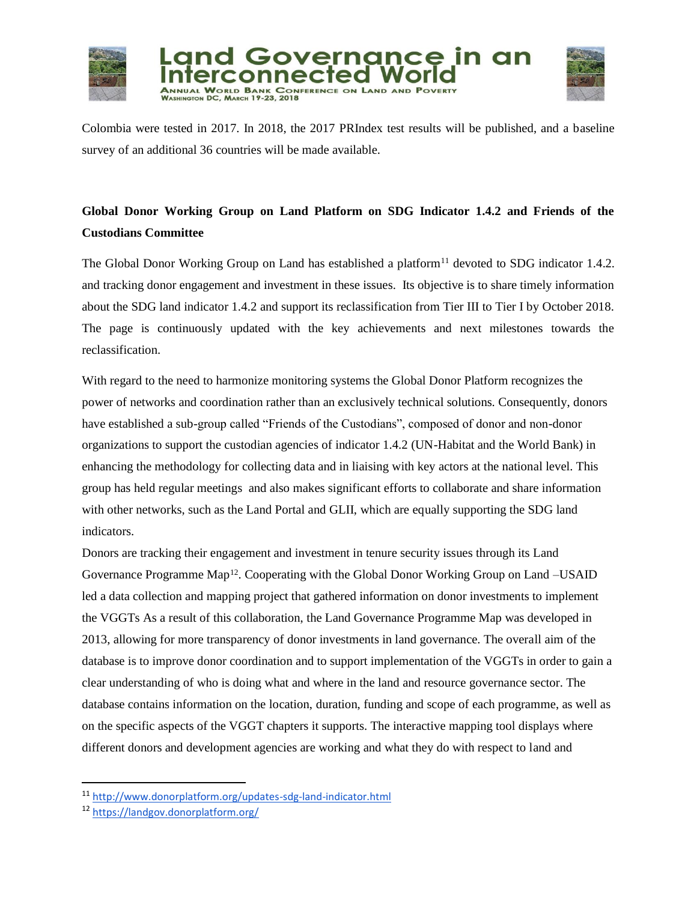



Colombia were tested in 2017. In 2018, the 2017 PRIndex test results will be published, and a baseline survey of an additional 36 countries will be made available.

# **Global Donor Working Group on Land Platform on SDG Indicator 1.4.2 and Friends of the Custodians Committee**

The Global Donor Working Group on Land has established a platform<sup>11</sup> devoted to SDG indicator 1.4.2. and tracking donor engagement and investment in these issues. Its objective is to share timely information about the SDG land indicator 1.4.2 and support its reclassification from Tier III to Tier I by October 2018. The page is continuously updated with the key achievements and next milestones towards the reclassification.

With regard to the need to harmonize monitoring systems the Global Donor Platform recognizes the power of networks and coordination rather than an exclusively technical solutions. Consequently, donors have established a sub-group called "Friends of the Custodians", composed of donor and non-donor organizations to support the custodian agencies of indicator 1.4.2 (UN-Habitat and the World Bank) in enhancing the methodology for collecting data and in liaising with key actors at the national level. This group has held regular meetings and also makes significant efforts to collaborate and share information with other networks, such as the Land Portal and GLII, which are equally supporting the SDG land indicators.

Donors are tracking their engagement and investment in tenure security issues through its Land Governance Programme Map<sup>12</sup>. Cooperating with the Global Donor Working Group on Land –USAID led a data collection and mapping project that gathered information on donor investments to implement the VGGTs As a result of this collaboration, the Land Governance Programme Map was developed in 2013, allowing for more transparency of donor investments in land governance. The overall aim of the database is to improve donor coordination and to support implementation of the VGGTs in order to gain a clear understanding of who is doing what and where in the land and resource governance sector. The database contains information on the location, duration, funding and scope of each programme, as well as on the specific aspects of the VGGT chapters it supports. The interactive mapping tool displays where different donors and development agencies are working and what they do with respect to land and

 $\overline{a}$ 

<sup>11</sup> <http://www.donorplatform.org/updates-sdg-land-indicator.html>

<sup>12</sup> <https://landgov.donorplatform.org/>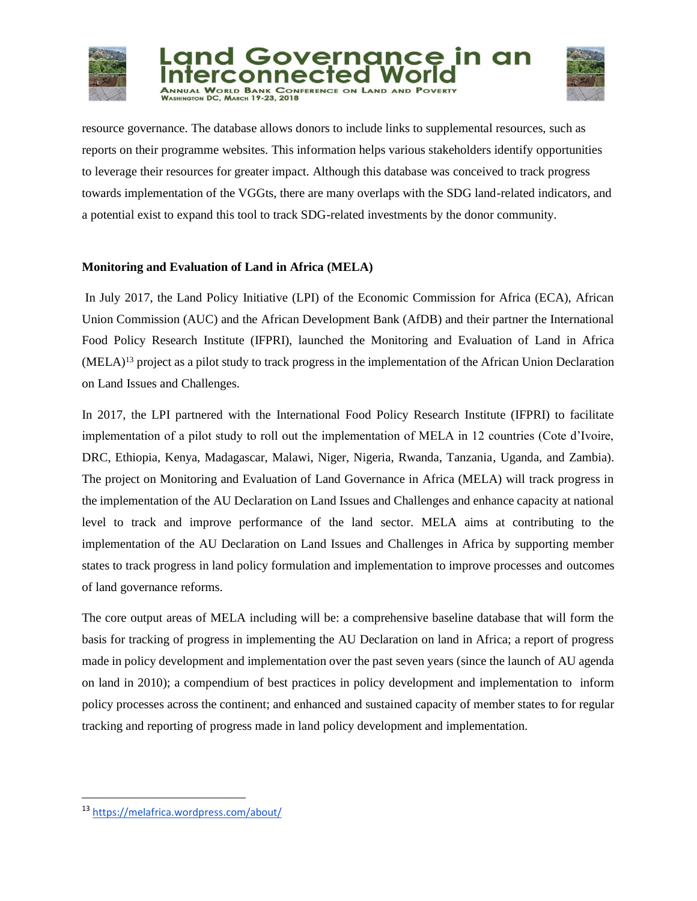



resource governance. The database allows donors to include links to supplemental resources, such as reports on their programme websites. This information helps various stakeholders identify opportunities to leverage their resources for greater impact. Although this database was conceived to track progress towards implementation of the VGGts, there are many overlaps with the SDG land-related indicators, and a potential exist to expand this tool to track SDG-related investments by the donor community.

# **Monitoring and Evaluation of Land in Africa (MELA)**

In July 2017, the Land Policy Initiative (LPI) of the Economic Commission for Africa (ECA), African Union Commission (AUC) and the African Development Bank (AfDB) and their partner the International Food Policy Research Institute (IFPRI), launched the Monitoring and Evaluation of Land in Africa  $(MELA)^{13}$  project as a pilot study to track progress in the implementation of the African Union Declaration on Land Issues and Challenges.

In 2017, the LPI partnered with the International Food Policy Research Institute (IFPRI) to facilitate implementation of a pilot study to roll out the implementation of MELA in 12 countries (Cote d'Ivoire, DRC, Ethiopia, Kenya, Madagascar, Malawi, Niger, Nigeria, Rwanda, Tanzania, Uganda, and Zambia). The project on Monitoring and Evaluation of Land Governance in Africa (MELA) will track progress in the implementation of the AU Declaration on Land Issues and Challenges and enhance capacity at national level to track and improve performance of the land sector. MELA aims at contributing to the implementation of the AU Declaration on Land Issues and Challenges in Africa by supporting member states to track progress in land policy formulation and implementation to improve processes and outcomes of land governance reforms.

The core output areas of MELA including will be: a comprehensive baseline database that will form the basis for tracking of progress in implementing the AU Declaration on land in Africa; a report of progress made in policy development and implementation over the past seven years (since the launch of AU agenda on land in 2010); a compendium of best practices in policy development and implementation to inform policy processes across the continent; and enhanced and sustained capacity of member states to for regular tracking and reporting of progress made in land policy development and implementation.

l

<sup>13</sup> <https://melafrica.wordpress.com/about/>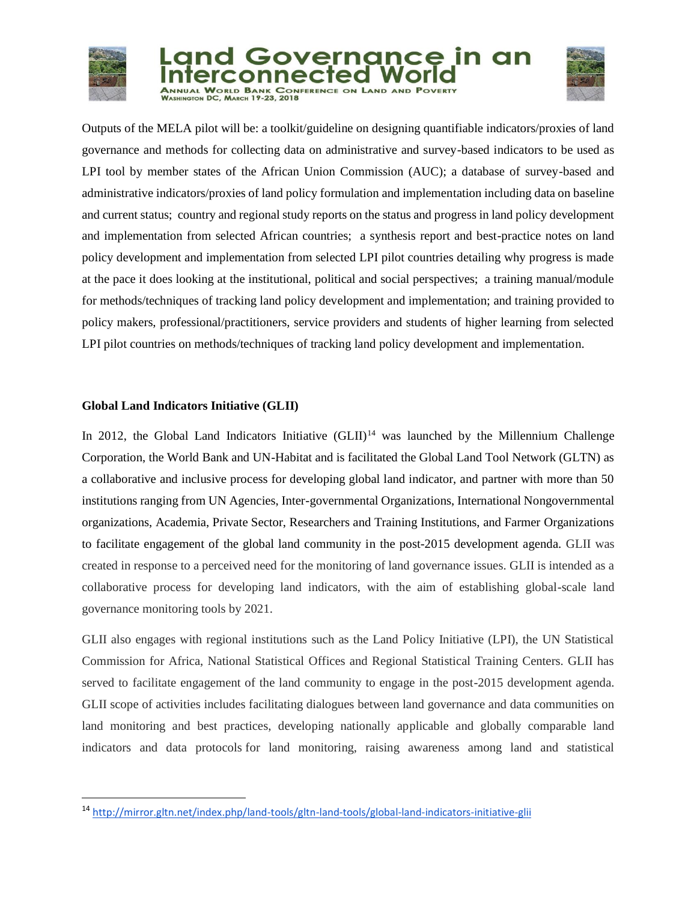

l





Outputs of the MELA pilot will be: a toolkit/guideline on designing quantifiable indicators/proxies of land governance and methods for collecting data on administrative and survey-based indicators to be used as LPI tool by member states of the African Union Commission (AUC); a database of survey-based and administrative indicators/proxies of land policy formulation and implementation including data on baseline and current status; country and regional study reports on the status and progress in land policy development and implementation from selected African countries; a synthesis report and best-practice notes on land policy development and implementation from selected LPI pilot countries detailing why progress is made at the pace it does looking at the institutional, political and social perspectives; a training manual/module for methods/techniques of tracking land policy development and implementation; and training provided to policy makers, professional/practitioners, service providers and students of higher learning from selected LPI pilot countries on methods/techniques of tracking land policy development and implementation.

# **Global Land Indicators Initiative (GLII)**

In 2012, the Global Land Indicators Initiative  $(GLII)^{14}$  was launched by the Millennium Challenge Corporation, the World Bank and UN-Habitat and is facilitated the Global Land Tool Network (GLTN) as a collaborative and inclusive process for developing global land indicator, and partner with more than 50 institutions ranging from UN Agencies, Inter-governmental Organizations, International Nongovernmental organizations, Academia, Private Sector, Researchers and Training Institutions, and Farmer Organizations to facilitate engagement of the global land community in the post-2015 development agenda. GLII was created in response to a perceived need for the monitoring of land governance issues. GLII is intended as a collaborative process for developing land indicators, with the aim of establishing global-scale land governance monitoring tools by 2021.

GLII also engages with regional institutions such as the Land Policy Initiative (LPI), the UN Statistical Commission for Africa, National Statistical Offices and Regional Statistical Training Centers. GLII has served to facilitate engagement of the land community to engage in the post-2015 development agenda. GLII scope of activities includes facilitating dialogues between land governance and data communities on land monitoring and best practices, developing nationally applicable and globally comparable land indicators and data protocols for land monitoring, raising awareness among land and statistical

<sup>14</sup> <http://mirror.gltn.net/index.php/land-tools/gltn-land-tools/global-land-indicators-initiative-glii>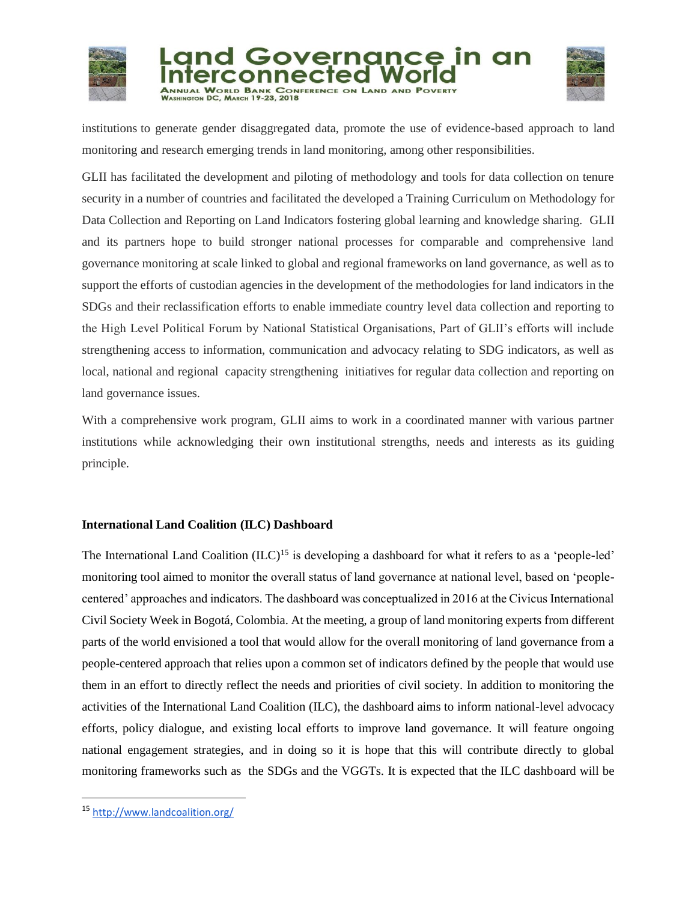





institutions to generate gender disaggregated data, promote the use of evidence-based approach to land monitoring and research emerging trends in land monitoring, among other responsibilities.

GLII has facilitated the development and piloting of methodology and tools for data collection on tenure security in a number of countries and facilitated the developed a Training Curriculum on Methodology for Data Collection and Reporting on Land Indicators fostering global learning and knowledge sharing. GLII and its partners hope to build stronger national processes for comparable and comprehensive land governance monitoring at scale linked to global and regional frameworks on land governance, as well as to support the efforts of custodian agencies in the development of the methodologies for land indicators in the SDGs and their reclassification efforts to enable immediate country level data collection and reporting to the High Level Political Forum by National Statistical Organisations, Part of GLII's efforts will include strengthening access to information, communication and advocacy relating to SDG indicators, as well as local, national and regional capacity strengthening initiatives for regular data collection and reporting on land governance issues.

With a comprehensive work program, GLII aims to work in a coordinated manner with various partner institutions while acknowledging their own institutional strengths, needs and interests as its guiding principle.

# **International Land Coalition (ILC) Dashboard**

The International Land Coalition  $(ILC)^{15}$  is developing a dashboard for what it refers to as a 'people-led' monitoring tool aimed to monitor the overall status of land governance at national level, based on 'peoplecentered' approaches and indicators. The dashboard was conceptualized in 2016 at the Civicus International Civil Society Week in Bogotá, Colombia. At the meeting, a group of land monitoring experts from different parts of the world envisioned a tool that would allow for the overall monitoring of land governance from a people-centered approach that relies upon a common set of indicators defined by the people that would use them in an effort to directly reflect the needs and priorities of civil society. In addition to monitoring the activities of the International Land Coalition (ILC), the dashboard aims to inform national-level advocacy efforts, policy dialogue, and existing local efforts to improve land governance. It will feature ongoing national engagement strategies, and in doing so it is hope that this will contribute directly to global monitoring frameworks such as the SDGs and the VGGTs. It is expected that the ILC dashboard will be

l

<sup>15</sup> <http://www.landcoalition.org/>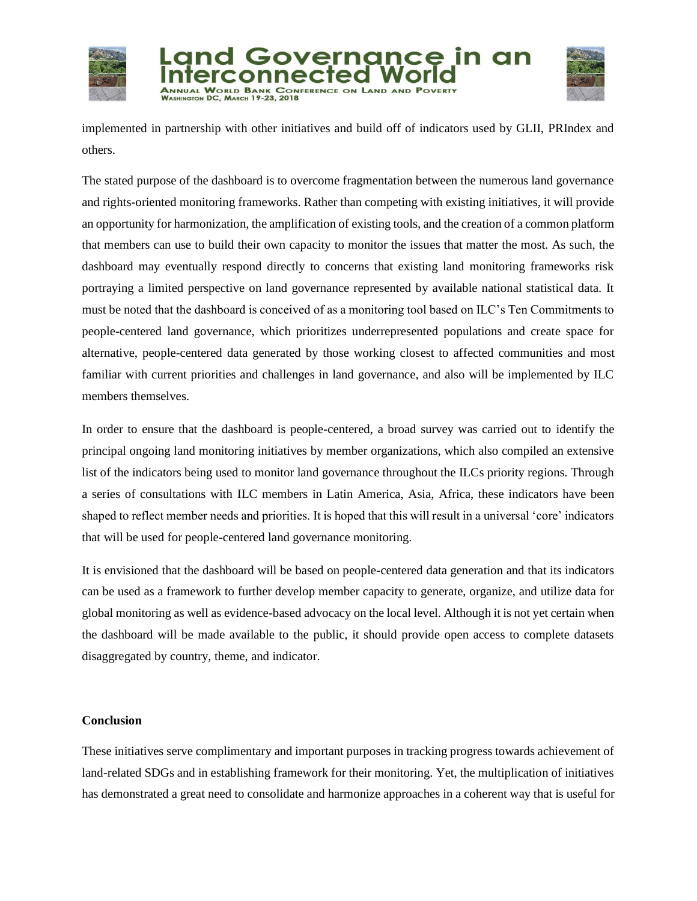





implemented in partnership with other initiatives and build off of indicators used by GLII, PRIndex and others.

The stated purpose of the dashboard is to overcome fragmentation between the numerous land governance and rights-oriented monitoring frameworks. Rather than competing with existing initiatives, it will provide an opportunity for harmonization, the amplification of existing tools, and the creation of a common platform that members can use to build their own capacity to monitor the issues that matter the most. As such, the dashboard may eventually respond directly to concerns that existing land monitoring frameworks risk portraying a limited perspective on land governance represented by available national statistical data. It must be noted that the dashboard is conceived of as a monitoring tool based on ILC's Ten Commitments to people-centered land governance, which prioritizes underrepresented populations and create space for alternative, people-centered data generated by those working closest to affected communities and most familiar with current priorities and challenges in land governance, and also will be implemented by ILC members themselves.

In order to ensure that the dashboard is people-centered, a broad survey was carried out to identify the principal ongoing land monitoring initiatives by member organizations, which also compiled an extensive list of the indicators being used to monitor land governance throughout the ILCs priority regions. Through a series of consultations with ILC members in Latin America, Asia, Africa, these indicators have been shaped to reflect member needs and priorities. It is hoped that this will result in a universal 'core' indicators that will be used for people-centered land governance monitoring.

It is envisioned that the dashboard will be based on people-centered data generation and that its indicators can be used as a framework to further develop member capacity to generate, organize, and utilize data for global monitoring as well as evidence-based advocacy on the local level. Although it is not yet certain when the dashboard will be made available to the public, it should provide open access to complete datasets disaggregated by country, theme, and indicator.

# **Conclusion**

These initiatives serve complimentary and important purposes in tracking progress towards achievement of land-related SDGs and in establishing framework for their monitoring. Yet, the multiplication of initiatives has demonstrated a great need to consolidate and harmonize approaches in a coherent way that is useful for